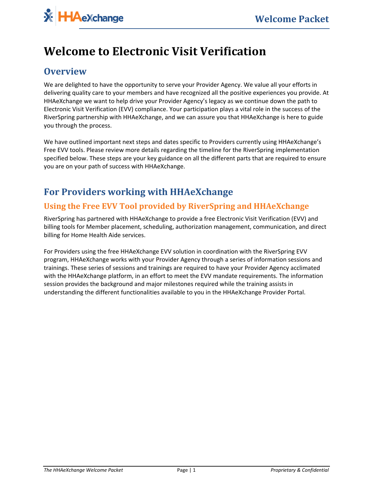# **Welcome to Electronic Visit Verification**

## **Overview**

We are delighted to have the opportunity to serve your Provider Agency. We value all your efforts in delivering quality care to your members and have recognized all the positive experiences you provide. At HHAeXchange we want to help drive your Provider Agency's legacy as we continue down the path to Electronic Visit Verification (EVV) compliance. Your participation plays a vital role in the success of the RiverSpring partnership with HHAeXchange, and we can assure you that HHAeXchange is here to guide you through the process.

We have outlined important next steps and dates specific to Providers currently using HHAeXchange's Free EVV tools. Please review more details regarding the timeline for the RiverSpring implementation specified below. These steps are your key guidance on all the different parts that are required to ensure you are on your path of success with HHAeXchange.

## **For Providers working with HHAeXchange**

#### **Using the Free EVV Tool provided by RiverSpring and HHAeXchange**

RiverSpring has partnered with HHAeXchange to provide a free Electronic Visit Verification (EVV) and billing tools for Member placement, scheduling, authorization management, communication, and direct billing for Home Health Aide services.

For Providers using the free HHAeXchange EVV solution in coordination with the RiverSpring EVV program, HHAeXchange works with your Provider Agency through a series of information sessions and trainings. These series of sessions and trainings are required to have your Provider Agency acclimated with the HHAeXchange platform, in an effort to meet the EVV mandate requirements. The information session provides the background and major milestones required while the training assists in understanding the different functionalities available to you in the HHAeXchange Provider Portal.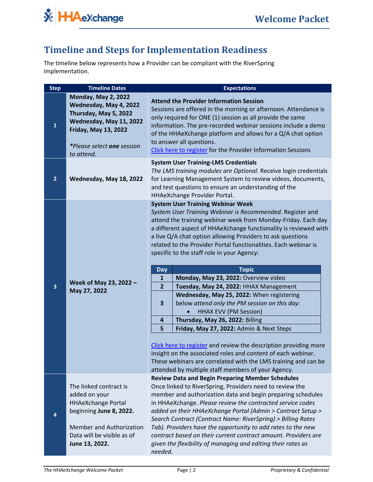

## **Timeline and Steps for Implementation Readiness**

The timeline below represents how a Provider can be compliant with the RiverSpring implementation.

| <b>Timeline Dates</b>                                                                                                                                                               | <b>Expectations</b>                                                                                                                                                                                                                                                                                                                                                                                                                                                                                                                                                                                                                                                                                                                                                                                                                                                                                                                                                                                                                                                 |
|-------------------------------------------------------------------------------------------------------------------------------------------------------------------------------------|---------------------------------------------------------------------------------------------------------------------------------------------------------------------------------------------------------------------------------------------------------------------------------------------------------------------------------------------------------------------------------------------------------------------------------------------------------------------------------------------------------------------------------------------------------------------------------------------------------------------------------------------------------------------------------------------------------------------------------------------------------------------------------------------------------------------------------------------------------------------------------------------------------------------------------------------------------------------------------------------------------------------------------------------------------------------|
| <b>Monday, May 2, 2022</b><br>Wednesday, May 4, 2022<br>Thursday, May 5, 2022<br>Wednesday, May 11, 2022<br><b>Friday, May 13, 2022</b><br>*Please select one session<br>to attend. | <b>Attend the Provider Information Session</b><br>Sessions are offered in the morning or afternoon. Attendance is<br>only required for ONE (1) session as all provide the same<br>information. The pre-recorded webinar sessions include a demo<br>of the HHAeXchange platform and allows for a Q/A chat option<br>to answer all questions.<br>Click here to register for the Provider Information Sessions                                                                                                                                                                                                                                                                                                                                                                                                                                                                                                                                                                                                                                                         |
| Wednesday, May 18, 2022                                                                                                                                                             | <b>System User Training-LMS Credentials</b><br>The LMS training modules are Optional. Receive login credentials<br>for Learning Management System to review videos, documents,<br>and test questions to ensure an understanding of the<br>HHAeXchange Provider Portal.                                                                                                                                                                                                                                                                                                                                                                                                                                                                                                                                                                                                                                                                                                                                                                                              |
| Week of May 23, 2022 -<br>May 27, 2022                                                                                                                                              | <b>System User Training Webinar Week</b><br>System User Training Webinar is Recommended. Register and<br>attend the training webinar week from Monday-Friday. Each day<br>a different aspect of HHAeXchange functionality is reviewed with<br>a live Q/A chat option allowing Providers to ask questions<br>related to the Provider Portal functionalities. Each webinar is<br>specific to the staff role in your Agency:<br><b>Topic</b><br><b>Day</b><br>Monday, May 23, 2022: Overview video<br>$\mathbf{1}$<br>$\overline{2}$<br>Tuesday, May 24, 2022: HHAX Management<br>Wednesday, May 25, 2022: When registering<br>below attend only the PM session on this day:<br>3<br><b>HHAX EVV (PM Session)</b><br>Thursday, May 26, 2022: Billing<br>4<br>5<br>Friday, May 27, 2022: Admin & Next Steps<br>Click here to register and review the description providing more<br>insight on the associated roles and content of each webinar.<br>These webinars are correlated with the LMS training and can be<br>attended by multiple staff members of your Agency. |
| The linked contract is<br>added on your<br><b>HHAeXchange Portal</b><br>beginning June 8, 2022.<br>Member and Authorization<br>Data will be visible as of<br>June 13, 2022.         | <b>Review Data and Begin Preparing Member Schedules</b><br>Once linked to RiverSpring, Providers need to review the<br>member and authorization data and begin preparing schedules<br>in HHAeXchange. Please review the contracted service codes<br>added on their HHAeXchange Portal (Admin > Contract Setup ><br>Search Contract (Contract Name: RiverSpring) > Billing Rates<br>Tab). Providers have the opportunity to add rates to the new<br>contract based on their current contract amount. Providers are<br>given the flexibility of managing and editing their rates as<br>needed.                                                                                                                                                                                                                                                                                                                                                                                                                                                                        |
|                                                                                                                                                                                     |                                                                                                                                                                                                                                                                                                                                                                                                                                                                                                                                                                                                                                                                                                                                                                                                                                                                                                                                                                                                                                                                     |